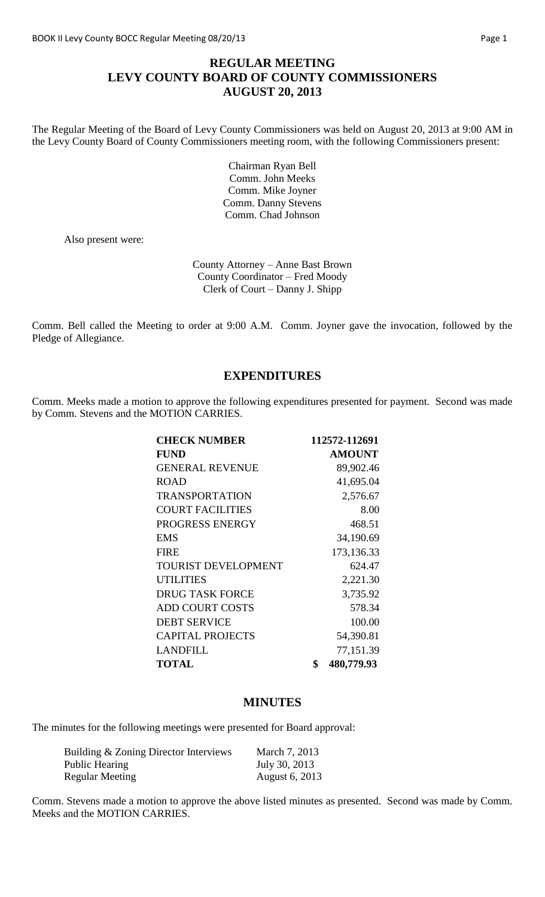# **REGULAR MEETING LEVY COUNTY BOARD OF COUNTY COMMISSIONERS AUGUST 20, 2013**

The Regular Meeting of the Board of Levy County Commissioners was held on August 20, 2013 at 9:00 AM in the Levy County Board of County Commissioners meeting room, with the following Commissioners present:

> Chairman Ryan Bell Comm. John Meeks Comm. Mike Joyner Comm. Danny Stevens Comm. Chad Johnson

Also present were:

County Attorney – Anne Bast Brown County Coordinator – Fred Moody Clerk of Court – Danny J. Shipp

Comm. Bell called the Meeting to order at 9:00 A.M. Comm. Joyner gave the invocation, followed by the Pledge of Allegiance.

### **EXPENDITURES**

Comm. Meeks made a motion to approve the following expenditures presented for payment. Second was made by Comm. Stevens and the MOTION CARRIES.

| <b>CHECK NUMBER</b>        | 112572-112691    |
|----------------------------|------------------|
| <b>FUND</b>                | <b>AMOUNT</b>    |
| <b>GENERAL REVENUE</b>     | 89,902.46        |
| <b>ROAD</b>                | 41,695.04        |
| <b>TRANSPORTATION</b>      | 2,576.67         |
| <b>COURT FACILITIES</b>    | 8.00             |
| PROGRESS ENERGY            | 468.51           |
| <b>EMS</b>                 | 34,190.69        |
| <b>FIRE</b>                | 173, 136. 33     |
| <b>TOURIST DEVELOPMENT</b> | 624.47           |
| <b>UTILITIES</b>           | 2,221.30         |
| <b>DRUG TASK FORCE</b>     | 3,735.92         |
| <b>ADD COURT COSTS</b>     | 578.34           |
| <b>DEBT SERVICE</b>        | 100.00           |
| <b>CAPITAL PROJECTS</b>    | 54,390.81        |
| LANDFILL                   | 77,151.39        |
| <b>TOTAL</b>               | \$<br>480,779.93 |

### **MINUTES**

The minutes for the following meetings were presented for Board approval:

| Building & Zoning Director Interviews | March 7, 2013  |
|---------------------------------------|----------------|
| Public Hearing                        | July 30, 2013  |
| Regular Meeting                       | August 6, 2013 |

Comm. Stevens made a motion to approve the above listed minutes as presented. Second was made by Comm. Meeks and the MOTION CARRIES.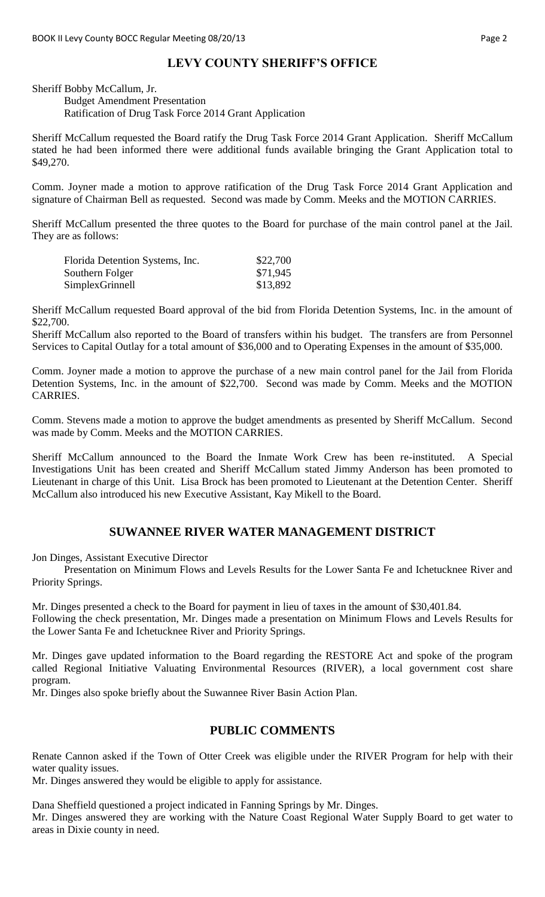### **LEVY COUNTY SHERIFF'S OFFICE**

Sheriff Bobby McCallum, Jr.

#### Budget Amendment Presentation Ratification of Drug Task Force 2014 Grant Application

Sheriff McCallum requested the Board ratify the Drug Task Force 2014 Grant Application. Sheriff McCallum stated he had been informed there were additional funds available bringing the Grant Application total to \$49,270.

Comm. Joyner made a motion to approve ratification of the Drug Task Force 2014 Grant Application and signature of Chairman Bell as requested. Second was made by Comm. Meeks and the MOTION CARRIES.

Sheriff McCallum presented the three quotes to the Board for purchase of the main control panel at the Jail. They are as follows:

| Florida Detention Systems, Inc. | \$22,700 |
|---------------------------------|----------|
| Southern Folger                 | \$71,945 |
| SimplexGrinnell                 | \$13,892 |

Sheriff McCallum requested Board approval of the bid from Florida Detention Systems, Inc. in the amount of \$22,700.

Sheriff McCallum also reported to the Board of transfers within his budget. The transfers are from Personnel Services to Capital Outlay for a total amount of \$36,000 and to Operating Expenses in the amount of \$35,000.

Comm. Joyner made a motion to approve the purchase of a new main control panel for the Jail from Florida Detention Systems, Inc. in the amount of \$22,700. Second was made by Comm. Meeks and the MOTION CARRIES.

Comm. Stevens made a motion to approve the budget amendments as presented by Sheriff McCallum. Second was made by Comm. Meeks and the MOTION CARRIES.

Sheriff McCallum announced to the Board the Inmate Work Crew has been re-instituted. A Special Investigations Unit has been created and Sheriff McCallum stated Jimmy Anderson has been promoted to Lieutenant in charge of this Unit. Lisa Brock has been promoted to Lieutenant at the Detention Center. Sheriff McCallum also introduced his new Executive Assistant, Kay Mikell to the Board.

### **SUWANNEE RIVER WATER MANAGEMENT DISTRICT**

Jon Dinges, Assistant Executive Director

Presentation on Minimum Flows and Levels Results for the Lower Santa Fe and Ichetucknee River and Priority Springs.

Mr. Dinges presented a check to the Board for payment in lieu of taxes in the amount of \$30,401.84. Following the check presentation, Mr. Dinges made a presentation on Minimum Flows and Levels Results for the Lower Santa Fe and Ichetucknee River and Priority Springs.

Mr. Dinges gave updated information to the Board regarding the RESTORE Act and spoke of the program called Regional Initiative Valuating Environmental Resources (RIVER), a local government cost share program.

Mr. Dinges also spoke briefly about the Suwannee River Basin Action Plan.

#### **PUBLIC COMMENTS**

Renate Cannon asked if the Town of Otter Creek was eligible under the RIVER Program for help with their water quality issues.

Mr. Dinges answered they would be eligible to apply for assistance.

Dana Sheffield questioned a project indicated in Fanning Springs by Mr. Dinges. Mr. Dinges answered they are working with the Nature Coast Regional Water Supply Board to get water to areas in Dixie county in need.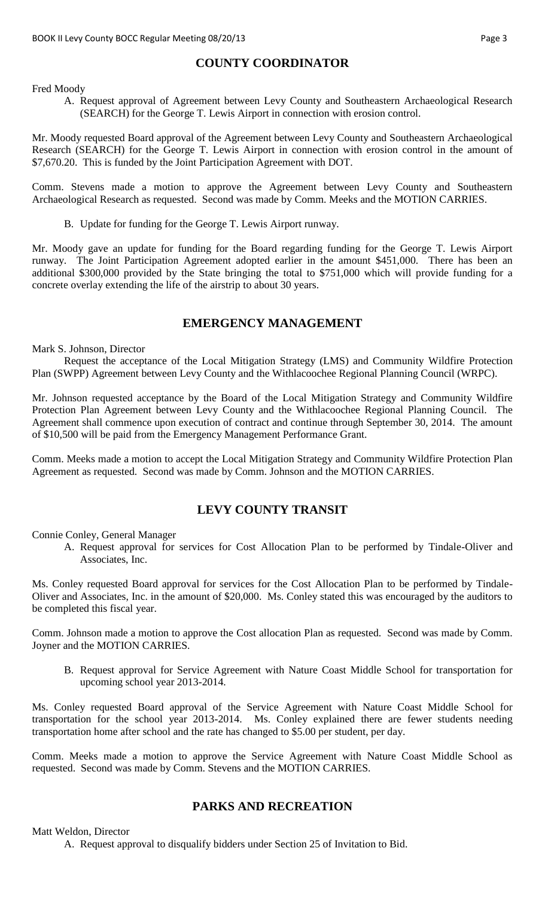# **COUNTY COORDINATOR**

Fred Moody

A. Request approval of Agreement between Levy County and Southeastern Archaeological Research (SEARCH) for the George T. Lewis Airport in connection with erosion control.

Mr. Moody requested Board approval of the Agreement between Levy County and Southeastern Archaeological Research (SEARCH) for the George T. Lewis Airport in connection with erosion control in the amount of \$7,670.20. This is funded by the Joint Participation Agreement with DOT.

Comm. Stevens made a motion to approve the Agreement between Levy County and Southeastern Archaeological Research as requested. Second was made by Comm. Meeks and the MOTION CARRIES.

B. Update for funding for the George T. Lewis Airport runway.

Mr. Moody gave an update for funding for the Board regarding funding for the George T. Lewis Airport runway. The Joint Participation Agreement adopted earlier in the amount \$451,000. There has been an additional \$300,000 provided by the State bringing the total to \$751,000 which will provide funding for a concrete overlay extending the life of the airstrip to about 30 years.

# **EMERGENCY MANAGEMENT**

Mark S. Johnson, Director

Request the acceptance of the Local Mitigation Strategy (LMS) and Community Wildfire Protection Plan (SWPP) Agreement between Levy County and the Withlacoochee Regional Planning Council (WRPC).

Mr. Johnson requested acceptance by the Board of the Local Mitigation Strategy and Community Wildfire Protection Plan Agreement between Levy County and the Withlacoochee Regional Planning Council. The Agreement shall commence upon execution of contract and continue through September 30, 2014. The amount of \$10,500 will be paid from the Emergency Management Performance Grant.

Comm. Meeks made a motion to accept the Local Mitigation Strategy and Community Wildfire Protection Plan Agreement as requested. Second was made by Comm. Johnson and the MOTION CARRIES.

# **LEVY COUNTY TRANSIT**

Connie Conley, General Manager

A. Request approval for services for Cost Allocation Plan to be performed by Tindale-Oliver and Associates, Inc.

Ms. Conley requested Board approval for services for the Cost Allocation Plan to be performed by Tindale-Oliver and Associates, Inc. in the amount of \$20,000. Ms. Conley stated this was encouraged by the auditors to be completed this fiscal year.

Comm. Johnson made a motion to approve the Cost allocation Plan as requested. Second was made by Comm. Joyner and the MOTION CARRIES.

B. Request approval for Service Agreement with Nature Coast Middle School for transportation for upcoming school year 2013-2014.

Ms. Conley requested Board approval of the Service Agreement with Nature Coast Middle School for transportation for the school year 2013-2014. Ms. Conley explained there are fewer students needing transportation home after school and the rate has changed to \$5.00 per student, per day.

Comm. Meeks made a motion to approve the Service Agreement with Nature Coast Middle School as requested. Second was made by Comm. Stevens and the MOTION CARRIES.

# **PARKS AND RECREATION**

Matt Weldon, Director

A. Request approval to disqualify bidders under Section 25 of Invitation to Bid.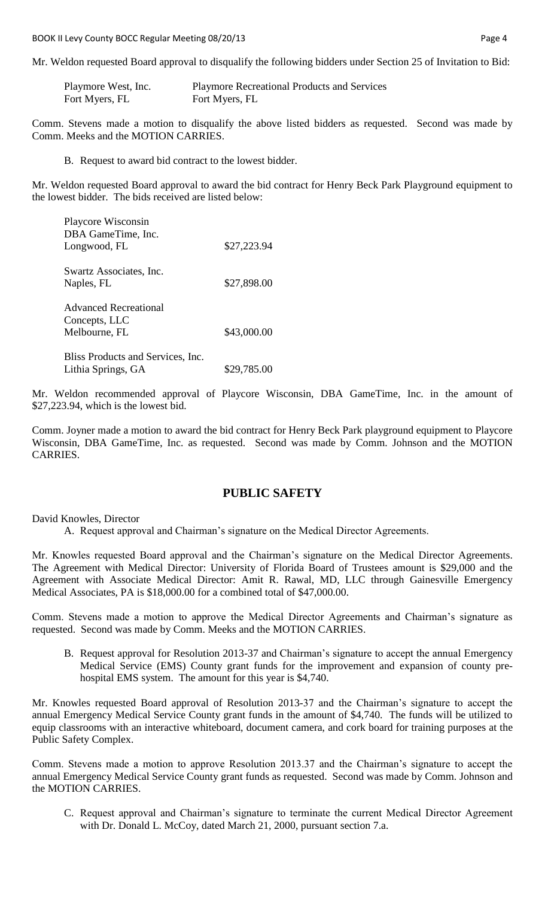BOOK II Levy County BOCC Regular Meeting 08/20/13 **Page 4** Page 4

Mr. Weldon requested Board approval to disqualify the following bidders under Section 25 of Invitation to Bid:

| Playmore West, Inc. | <b>Playmore Recreational Products and Services</b> |
|---------------------|----------------------------------------------------|
| Fort Myers, FL      | Fort Myers, FL                                     |

Comm. Stevens made a motion to disqualify the above listed bidders as requested. Second was made by Comm. Meeks and the MOTION CARRIES.

B. Request to award bid contract to the lowest bidder.

Mr. Weldon requested Board approval to award the bid contract for Henry Beck Park Playground equipment to the lowest bidder. The bids received are listed below:

| Playcore Wisconsin                |             |
|-----------------------------------|-------------|
| DBA GameTime, Inc.                |             |
| Longwood, FL                      | \$27,223.94 |
| Swartz Associates, Inc.           |             |
| Naples, FL                        | \$27,898.00 |
| <b>Advanced Recreational</b>      |             |
| Concepts, LLC                     |             |
| Melbourne, FL                     | \$43,000.00 |
| Bliss Products and Services, Inc. |             |
| Lithia Springs, GA                | \$29,785.00 |

Mr. Weldon recommended approval of Playcore Wisconsin, DBA GameTime, Inc. in the amount of \$27,223.94, which is the lowest bid.

Comm. Joyner made a motion to award the bid contract for Henry Beck Park playground equipment to Playcore Wisconsin, DBA GameTime, Inc. as requested. Second was made by Comm. Johnson and the MOTION CARRIES.

# **PUBLIC SAFETY**

David Knowles, Director

A. Request approval and Chairman's signature on the Medical Director Agreements.

Mr. Knowles requested Board approval and the Chairman's signature on the Medical Director Agreements. The Agreement with Medical Director: University of Florida Board of Trustees amount is \$29,000 and the Agreement with Associate Medical Director: Amit R. Rawal, MD, LLC through Gainesville Emergency Medical Associates, PA is \$18,000.00 for a combined total of \$47,000.00.

Comm. Stevens made a motion to approve the Medical Director Agreements and Chairman's signature as requested. Second was made by Comm. Meeks and the MOTION CARRIES.

B. Request approval for Resolution 2013-37 and Chairman's signature to accept the annual Emergency Medical Service (EMS) County grant funds for the improvement and expansion of county prehospital EMS system. The amount for this year is \$4,740.

Mr. Knowles requested Board approval of Resolution 2013-37 and the Chairman's signature to accept the annual Emergency Medical Service County grant funds in the amount of \$4,740. The funds will be utilized to equip classrooms with an interactive whiteboard, document camera, and cork board for training purposes at the Public Safety Complex.

Comm. Stevens made a motion to approve Resolution 2013.37 and the Chairman's signature to accept the annual Emergency Medical Service County grant funds as requested. Second was made by Comm. Johnson and the MOTION CARRIES.

C. Request approval and Chairman's signature to terminate the current Medical Director Agreement with Dr. Donald L. McCoy, dated March 21, 2000, pursuant section 7.a.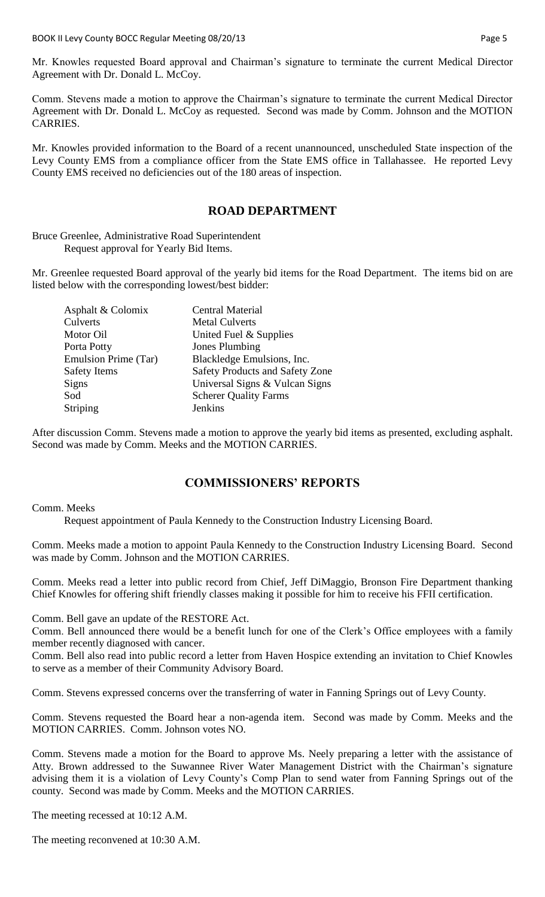Mr. Knowles requested Board approval and Chairman's signature to terminate the current Medical Director Agreement with Dr. Donald L. McCoy.

Comm. Stevens made a motion to approve the Chairman's signature to terminate the current Medical Director Agreement with Dr. Donald L. McCoy as requested. Second was made by Comm. Johnson and the MOTION CARRIES.

Mr. Knowles provided information to the Board of a recent unannounced, unscheduled State inspection of the Levy County EMS from a compliance officer from the State EMS office in Tallahassee. He reported Levy County EMS received no deficiencies out of the 180 areas of inspection.

### **ROAD DEPARTMENT**

Bruce Greenlee, Administrative Road Superintendent Request approval for Yearly Bid Items.

Mr. Greenlee requested Board approval of the yearly bid items for the Road Department. The items bid on are listed below with the corresponding lowest/best bidder:

| <b>Central Material</b>                |
|----------------------------------------|
| <b>Metal Culverts</b>                  |
| United Fuel & Supplies                 |
| Jones Plumbing                         |
| Blackledge Emulsions, Inc.             |
| <b>Safety Products and Safety Zone</b> |
| Universal Signs & Vulcan Signs         |
| <b>Scherer Quality Farms</b>           |
| Jenkins                                |
|                                        |

After discussion Comm. Stevens made a motion to approve the yearly bid items as presented, excluding asphalt. Second was made by Comm. Meeks and the MOTION CARRIES.

# **COMMISSIONERS' REPORTS**

#### Comm. Meeks

Request appointment of Paula Kennedy to the Construction Industry Licensing Board.

Comm. Meeks made a motion to appoint Paula Kennedy to the Construction Industry Licensing Board. Second was made by Comm. Johnson and the MOTION CARRIES.

Comm. Meeks read a letter into public record from Chief, Jeff DiMaggio, Bronson Fire Department thanking Chief Knowles for offering shift friendly classes making it possible for him to receive his FFII certification.

Comm. Bell gave an update of the RESTORE Act.

Comm. Bell announced there would be a benefit lunch for one of the Clerk's Office employees with a family member recently diagnosed with cancer.

Comm. Bell also read into public record a letter from Haven Hospice extending an invitation to Chief Knowles to serve as a member of their Community Advisory Board.

Comm. Stevens expressed concerns over the transferring of water in Fanning Springs out of Levy County.

Comm. Stevens requested the Board hear a non-agenda item. Second was made by Comm. Meeks and the MOTION CARRIES. Comm. Johnson votes NO.

Comm. Stevens made a motion for the Board to approve Ms. Neely preparing a letter with the assistance of Atty. Brown addressed to the Suwannee River Water Management District with the Chairman's signature advising them it is a violation of Levy County's Comp Plan to send water from Fanning Springs out of the county. Second was made by Comm. Meeks and the MOTION CARRIES.

The meeting recessed at 10:12 A.M.

The meeting reconvened at 10:30 A.M.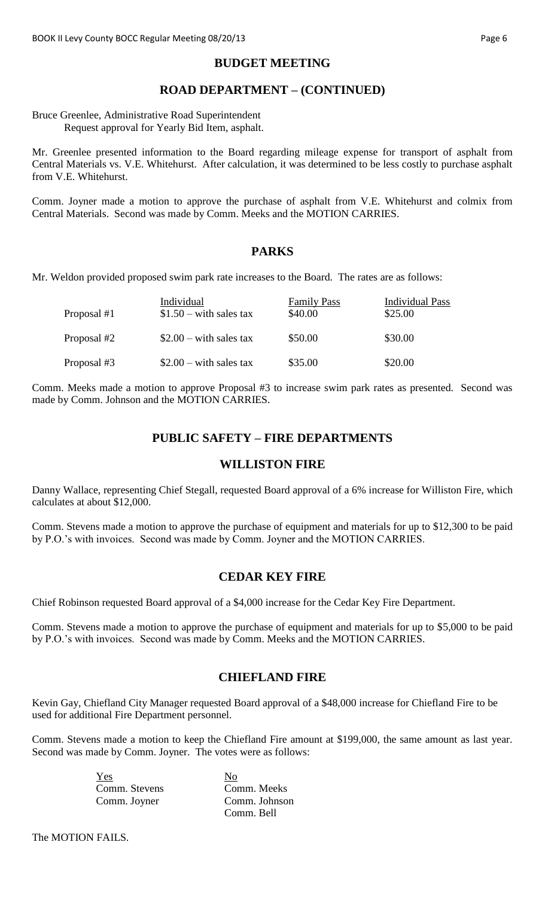# **BUDGET MEETING**

# **ROAD DEPARTMENT – (CONTINUED)**

Bruce Greenlee, Administrative Road Superintendent Request approval for Yearly Bid Item, asphalt.

Mr. Greenlee presented information to the Board regarding mileage expense for transport of asphalt from Central Materials vs. V.E. Whitehurst. After calculation, it was determined to be less costly to purchase asphalt from V.E. Whitehurst.

Comm. Joyner made a motion to approve the purchase of asphalt from V.E. Whitehurst and colmix from Central Materials. Second was made by Comm. Meeks and the MOTION CARRIES.

### **PARKS**

Mr. Weldon provided proposed swim park rate increases to the Board. The rates are as follows:

| Proposal #1 | Individual<br>$$1.50 - with sales tax$ | <b>Family Pass</b><br>\$40.00 | <b>Individual Pass</b><br>\$25.00 |
|-------------|----------------------------------------|-------------------------------|-----------------------------------|
| Proposal #2 | $$2.00 - with sales tax$               | \$50.00                       | \$30.00                           |
| Proposal #3 | $$2.00 - with sales tax$               | \$35.00                       | \$20.00                           |

Comm. Meeks made a motion to approve Proposal #3 to increase swim park rates as presented. Second was made by Comm. Johnson and the MOTION CARRIES.

### **PUBLIC SAFETY – FIRE DEPARTMENTS**

### **WILLISTON FIRE**

Danny Wallace, representing Chief Stegall, requested Board approval of a 6% increase for Williston Fire, which calculates at about \$12,000.

Comm. Stevens made a motion to approve the purchase of equipment and materials for up to \$12,300 to be paid by P.O.'s with invoices. Second was made by Comm. Joyner and the MOTION CARRIES.

# **CEDAR KEY FIRE**

Chief Robinson requested Board approval of a \$4,000 increase for the Cedar Key Fire Department.

Comm. Stevens made a motion to approve the purchase of equipment and materials for up to \$5,000 to be paid by P.O.'s with invoices. Second was made by Comm. Meeks and the MOTION CARRIES.

# **CHIEFLAND FIRE**

Kevin Gay, Chiefland City Manager requested Board approval of a \$48,000 increase for Chiefland Fire to be used for additional Fire Department personnel.

Comm. Stevens made a motion to keep the Chiefland Fire amount at \$199,000, the same amount as last year. Second was made by Comm. Joyner. The votes were as follows:

> Yes Comm. Stevens Comm. Meeks Comm. Joyner Comm. Johnson

Comm. Bell

The MOTION FAILS.